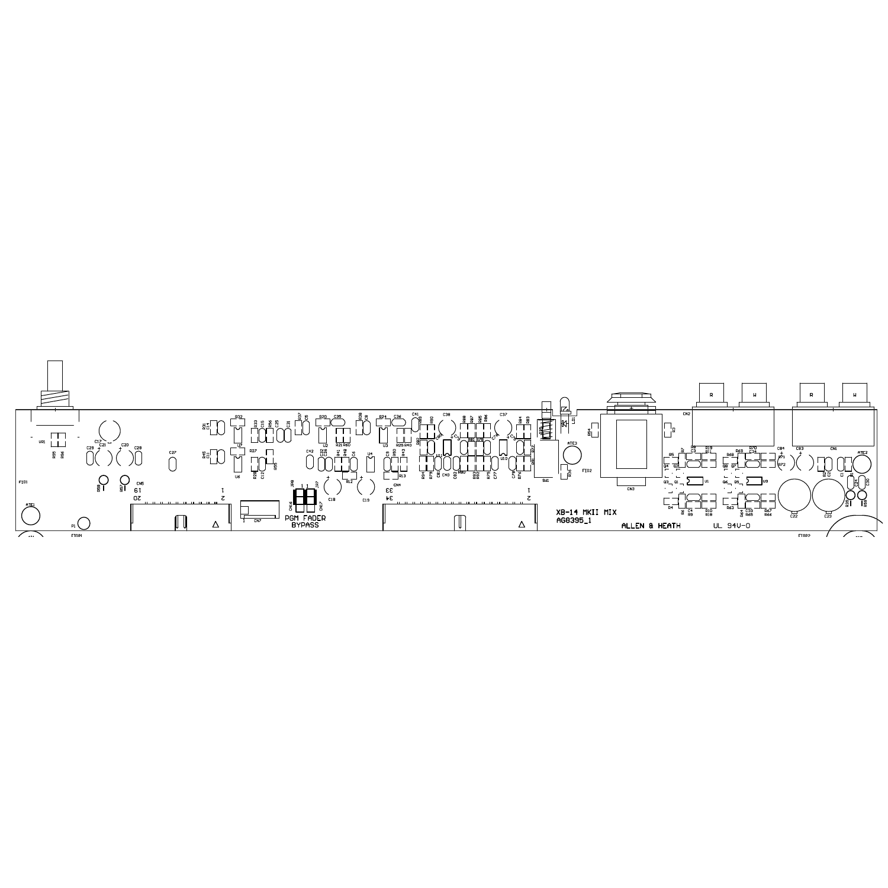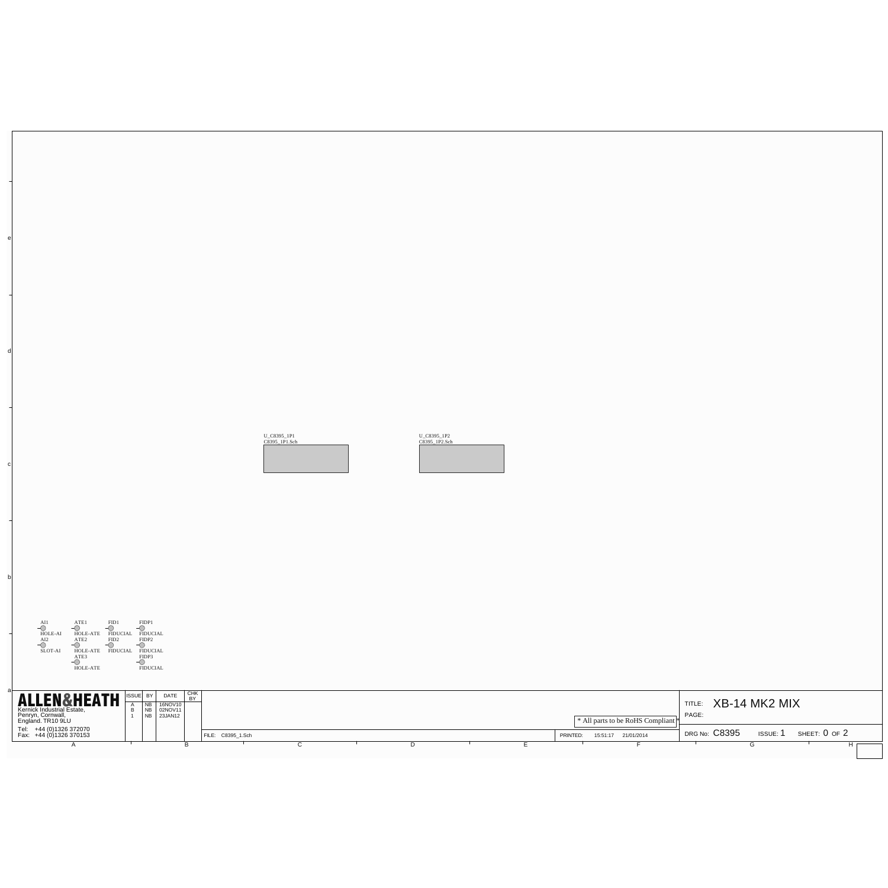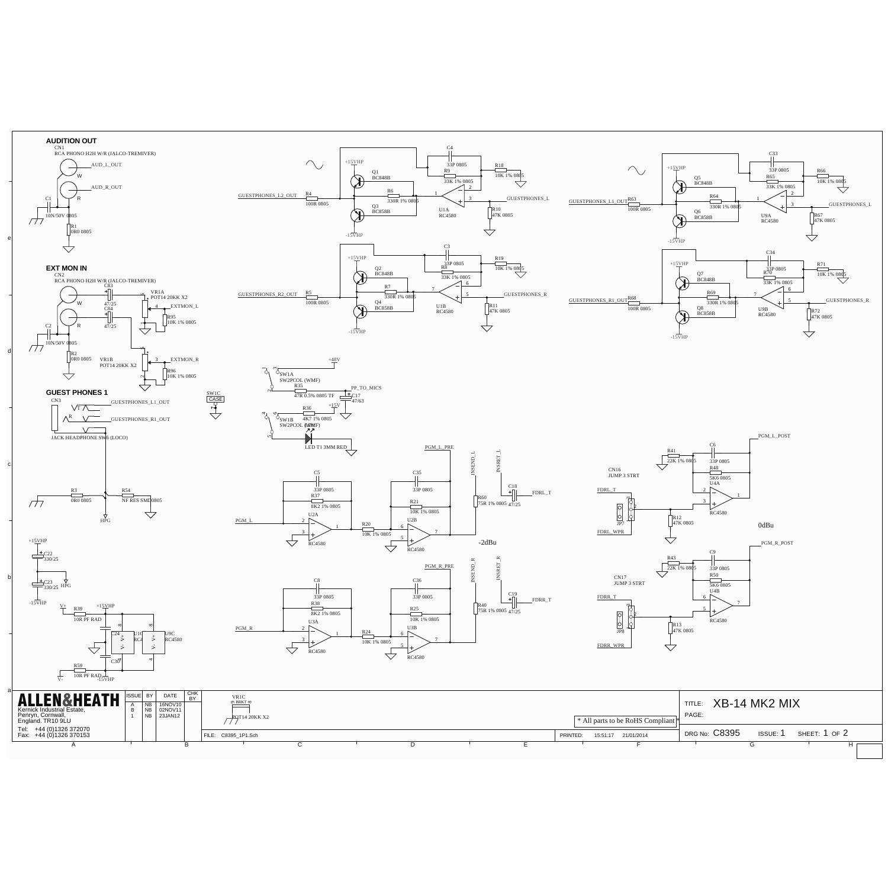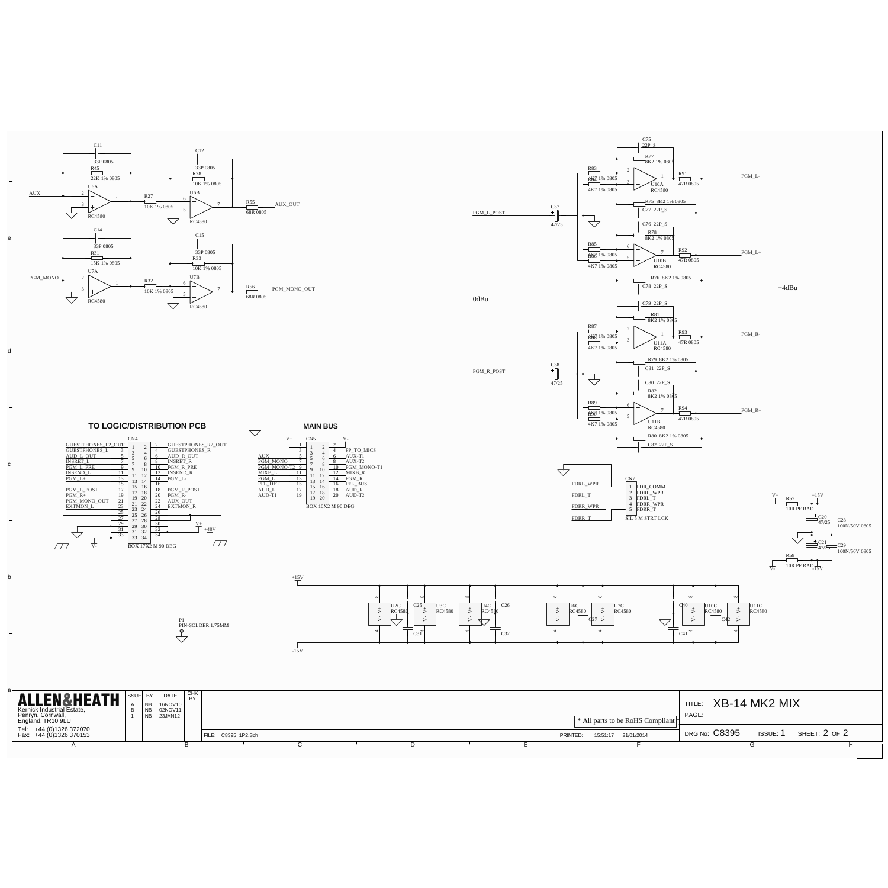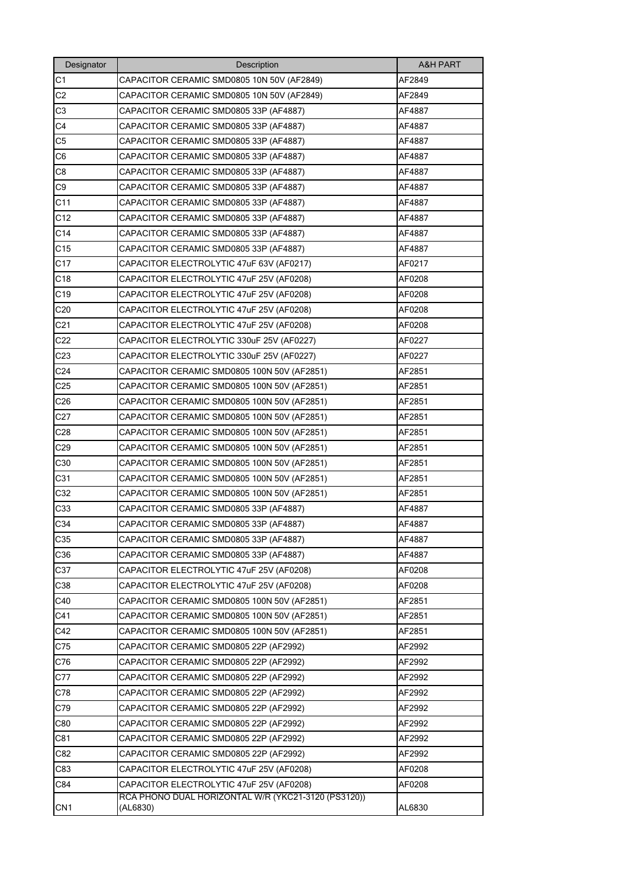| Designator      | Description                                                     | <b>A&amp;H PART</b> |
|-----------------|-----------------------------------------------------------------|---------------------|
| C1              | CAPACITOR CERAMIC SMD0805 10N 50V (AF2849)                      | AF2849              |
| C <sub>2</sub>  | CAPACITOR CERAMIC SMD0805 10N 50V (AF2849)                      | AF2849              |
| C3              | CAPACITOR CERAMIC SMD0805 33P (AF4887)                          | AF4887              |
| C4              | CAPACITOR CERAMIC SMD0805 33P (AF4887)                          | AF4887              |
| C5              | CAPACITOR CERAMIC SMD0805 33P (AF4887)                          | AF4887              |
| C6              | CAPACITOR CERAMIC SMD0805 33P (AF4887)                          | AF4887              |
| C8              | CAPACITOR CERAMIC SMD0805 33P (AF4887)                          | AF4887              |
| C9              | CAPACITOR CERAMIC SMD0805 33P (AF4887)                          | AF4887              |
| C11             | CAPACITOR CERAMIC SMD0805 33P (AF4887)                          | AF4887              |
| C12             | CAPACITOR CERAMIC SMD0805 33P (AF4887)                          | AF4887              |
| C <sub>14</sub> | CAPACITOR CERAMIC SMD0805 33P (AF4887)                          | AF4887              |
| C <sub>15</sub> | CAPACITOR CERAMIC SMD0805 33P (AF4887)                          | AF4887              |
| C <sub>17</sub> | CAPACITOR ELECTROLYTIC 47uF 63V (AF0217)                        | AF0217              |
| C18             | CAPACITOR ELECTROLYTIC 47uF 25V (AF0208)                        | AF0208              |
| C19             | CAPACITOR ELECTROLYTIC 47uF 25V (AF0208)                        | AF0208              |
| C20             | CAPACITOR ELECTROLYTIC 47uF 25V (AF0208)                        | AF0208              |
| C <sub>21</sub> | CAPACITOR ELECTROLYTIC 47uF 25V (AF0208)                        | AF0208              |
| C <sub>22</sub> | CAPACITOR ELECTROLYTIC 330uF 25V (AF0227)                       | AF0227              |
| C <sub>23</sub> | CAPACITOR ELECTROLYTIC 330uF 25V (AF0227)                       | AF0227              |
| C <sub>24</sub> | CAPACITOR CERAMIC SMD0805 100N 50V (AF2851)                     | AF2851              |
| C25             | CAPACITOR CERAMIC SMD0805 100N 50V (AF2851)                     | AF2851              |
| C <sub>26</sub> | CAPACITOR CERAMIC SMD0805 100N 50V (AF2851)                     | AF2851              |
| C <sub>27</sub> | CAPACITOR CERAMIC SMD0805 100N 50V (AF2851)                     | AF2851              |
| C28             | CAPACITOR CERAMIC SMD0805 100N 50V (AF2851)                     | AF2851              |
| C <sub>29</sub> | CAPACITOR CERAMIC SMD0805 100N 50V (AF2851)                     | AF2851              |
| C30             | CAPACITOR CERAMIC SMD0805 100N 50V (AF2851)                     | AF2851              |
| C31             | CAPACITOR CERAMIC SMD0805 100N 50V (AF2851)                     | AF2851              |
| C32             | CAPACITOR CERAMIC SMD0805 100N 50V (AF2851)                     | AF2851              |
| C33             | CAPACITOR CERAMIC SMD0805 33P (AF4887)                          | AF4887              |
| C34             | CAPACITOR CERAMIC SMD0805 33P (AF4887)                          | AF4887              |
| C35             | CAPACITOR CERAMIC SMD0805 33P (AF4887)                          | AF4887              |
| C36             | CAPACITOR CERAMIC SMD0805 33P (AF4887)                          | AF4887              |
| C37             | CAPACITOR ELECTROLYTIC 47uF 25V (AF0208)                        | AF0208              |
| C38             | CAPACITOR ELECTROLYTIC 47uF 25V (AF0208)                        | AF0208              |
| C40             | CAPACITOR CERAMIC SMD0805 100N 50V (AF2851)                     | AF2851              |
| C41             | CAPACITOR CERAMIC SMD0805 100N 50V (AF2851)                     | AF2851              |
| C42             | CAPACITOR CERAMIC SMD0805 100N 50V (AF2851)                     | AF2851              |
| C75             | CAPACITOR CERAMIC SMD0805 22P (AF2992)                          | AF2992              |
| C76             | CAPACITOR CERAMIC SMD0805 22P (AF2992)                          | AF2992              |
| C77             | CAPACITOR CERAMIC SMD0805 22P (AF2992)                          | AF2992              |
| C78             | CAPACITOR CERAMIC SMD0805 22P (AF2992)                          | AF2992              |
| C79             | CAPACITOR CERAMIC SMD0805 22P (AF2992)                          | AF2992              |
| C80             | CAPACITOR CERAMIC SMD0805 22P (AF2992)                          | AF2992              |
| C81             | CAPACITOR CERAMIC SMD0805 22P (AF2992)                          | AF2992              |
| C82             | CAPACITOR CERAMIC SMD0805 22P (AF2992)                          | AF2992              |
| C83             | CAPACITOR ELECTROLYTIC 47uF 25V (AF0208)                        | AF0208              |
| C84             | CAPACITOR ELECTROLYTIC 47uF 25V (AF0208)                        | AF0208              |
| CN <sub>1</sub> | RCA PHONO DUAL HORIZONTAL W/R (YKC21-3120 (PS3120))<br>(AL6830) | AL6830              |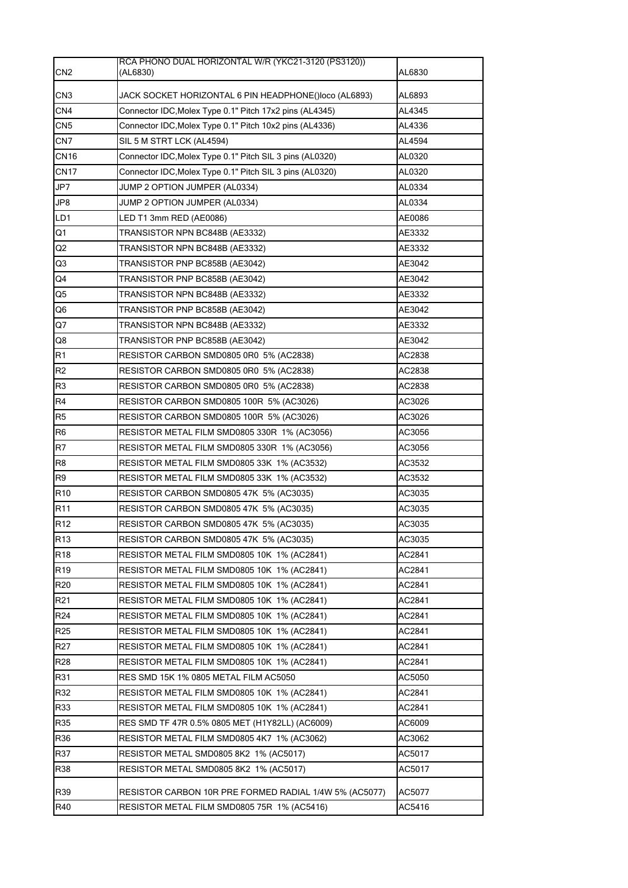| CN <sub>2</sub> | RCA PHONO DUAL HORIZONTAL W/R (YKC21-3120 (PS3120))<br>(AL6830) | AL6830 |
|-----------------|-----------------------------------------------------------------|--------|
| CN <sub>3</sub> | JACK SOCKET HORIZONTAL 6 PIN HEADPHONE()loco (AL6893)           | AL6893 |
| CN <sub>4</sub> | Connector IDC, Molex Type 0.1" Pitch 17x2 pins (AL4345)         | AL4345 |
| CN <sub>5</sub> | Connector IDC, Molex Type 0.1" Pitch 10x2 pins (AL4336)         | AL4336 |
| CN <sub>7</sub> | SIL 5 M STRT LCK (AL4594)                                       | AL4594 |
| <b>CN16</b>     | Connector IDC, Molex Type 0.1" Pitch SIL 3 pins (AL0320)        | AL0320 |
| <b>CN17</b>     | Connector IDC, Molex Type 0.1" Pitch SIL 3 pins (AL0320)        | AL0320 |
| JP7             | JUMP 2 OPTION JUMPER (AL0334)                                   | AL0334 |
| JP8             | JUMP 2 OPTION JUMPER (AL0334)                                   | AL0334 |
| LD1             | LED T1 3mm RED (AE0086)                                         | AE0086 |
| Q1              | TRANSISTOR NPN BC848B (AE3332)                                  | AE3332 |
| Q2              | TRANSISTOR NPN BC848B (AE3332)                                  | AE3332 |
| Q3              | TRANSISTOR PNP BC858B (AE3042)                                  | AE3042 |
| Q4              | TRANSISTOR PNP BC858B (AE3042)                                  | AE3042 |
| Q5              | TRANSISTOR NPN BC848B (AE3332)                                  | AE3332 |
| Q6              | TRANSISTOR PNP BC858B (AE3042)                                  | AE3042 |
| Q7              | TRANSISTOR NPN BC848B (AE3332)                                  | AE3332 |
| Q8              | TRANSISTOR PNP BC858B (AE3042)                                  | AE3042 |
| R1              | RESISTOR CARBON SMD0805 0R0 5% (AC2838)                         | AC2838 |
| R <sub>2</sub>  | RESISTOR CARBON SMD0805 0R0 5% (AC2838)                         | AC2838 |
| R <sub>3</sub>  | RESISTOR CARBON SMD0805 0R0 5% (AC2838)                         | AC2838 |
| R <sub>4</sub>  | <b>RESISTOR CARBON SMD0805 100R 5% (AC3026)</b>                 | AC3026 |
| R <sub>5</sub>  | RESISTOR CARBON SMD0805 100R 5% (AC3026)                        | AC3026 |
| R <sub>6</sub>  | RESISTOR METAL FILM SMD0805 330R 1% (AC3056)                    | AC3056 |
| R <sub>7</sub>  | RESISTOR METAL FILM SMD0805 330R 1% (AC3056)                    | AC3056 |
| R8              | RESISTOR METAL FILM SMD0805 33K 1% (AC3532)                     | AC3532 |
| R <sub>9</sub>  | RESISTOR METAL FILM SMD0805 33K 1% (AC3532)                     | AC3532 |
| R <sub>10</sub> | RESISTOR CARBON SMD0805 47K 5% (AC3035)                         | AC3035 |
| R <sub>11</sub> | RESISTOR CARBON SMD0805 47K 5% (AC3035)                         | AC3035 |
| R <sub>12</sub> | RESISTOR CARBON SMD0805 47K 5% (AC3035)                         | AC3035 |
| R <sub>13</sub> | RESISTOR CARBON SMD0805 47K 5% (AC3035)                         | AC3035 |
| R <sub>18</sub> | RESISTOR METAL FILM SMD0805 10K 1% (AC2841)                     | AC2841 |
| R <sub>19</sub> | RESISTOR METAL FILM SMD0805 10K 1% (AC2841)                     | AC2841 |
| R <sub>20</sub> | RESISTOR METAL FILM SMD0805 10K 1% (AC2841)                     | AC2841 |
| R <sub>21</sub> | RESISTOR METAL FILM SMD0805 10K 1% (AC2841)                     | AC2841 |
| R <sub>24</sub> | RESISTOR METAL FILM SMD0805 10K 1% (AC2841)                     | AC2841 |
| R <sub>25</sub> | RESISTOR METAL FILM SMD0805 10K 1% (AC2841)                     | AC2841 |
| R <sub>27</sub> | RESISTOR METAL FILM SMD0805 10K 1% (AC2841)                     | AC2841 |
| <b>R28</b>      | RESISTOR METAL FILM SMD0805 10K 1% (AC2841)                     | AC2841 |
| R31             | RES SMD 15K 1% 0805 METAL FILM AC5050                           | AC5050 |
| R32             | RESISTOR METAL FILM SMD0805 10K 1% (AC2841)                     | AC2841 |
| R33             | RESISTOR METAL FILM SMD0805 10K 1% (AC2841)                     | AC2841 |
| R35             | RES SMD TF 47R 0.5% 0805 MET (H1Y82LL) (AC6009)                 | AC6009 |
| R36             | RESISTOR METAL FILM SMD0805 4K7 1% (AC3062)                     | AC3062 |
| R37             | RESISTOR METAL SMD0805 8K2 1% (AC5017)                          | AC5017 |
| R38             | RESISTOR METAL SMD0805 8K2 1% (AC5017)                          | AC5017 |
| R39             | RESISTOR CARBON 10R PRE FORMED RADIAL 1/4W 5% (AC5077)          | AC5077 |
| R40             | RESISTOR METAL FILM SMD0805 75R 1% (AC5416)                     | AC5416 |
|                 |                                                                 |        |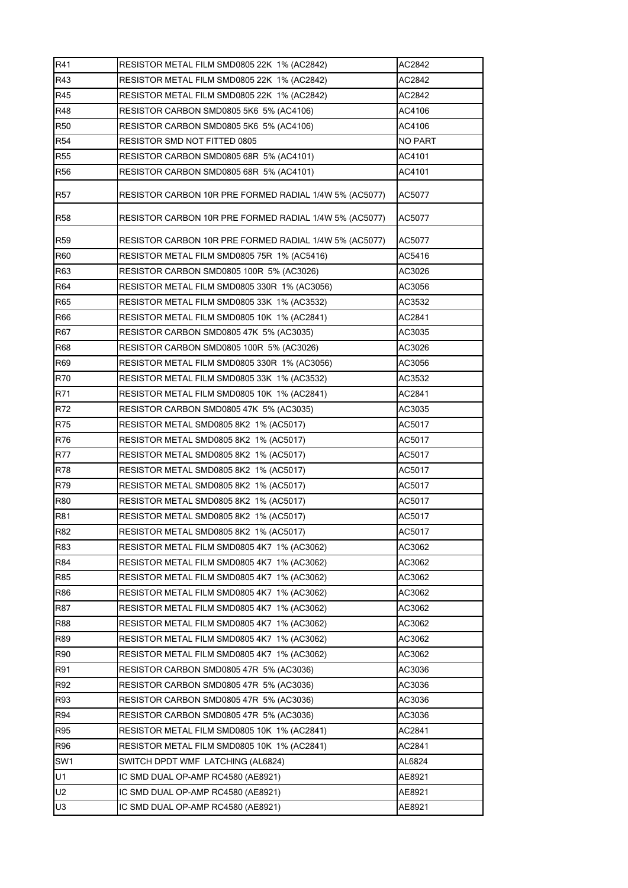| R41             | RESISTOR METAL FILM SMD0805 22K 1% (AC2842)            | AC2842  |
|-----------------|--------------------------------------------------------|---------|
| R43             | RESISTOR METAL FILM SMD0805 22K 1% (AC2842)            | AC2842  |
| R45             | RESISTOR METAL FILM SMD0805 22K 1% (AC2842)            | AC2842  |
| R48             | RESISTOR CARBON SMD0805 5K6 5% (AC4106)                | AC4106  |
| <b>R50</b>      | RESISTOR CARBON SMD0805 5K6 5% (AC4106)                | AC4106  |
| R <sub>54</sub> | RESISTOR SMD NOT FITTED 0805                           | NO PART |
| <b>R55</b>      | RESISTOR CARBON SMD0805 68R 5% (AC4101)                | AC4101  |
| R <sub>56</sub> | RESISTOR CARBON SMD0805 68R 5% (AC4101)                | AC4101  |
| R <sub>57</sub> | RESISTOR CARBON 10R PRE FORMED RADIAL 1/4W 5% (AC5077) | AC5077  |
| <b>R58</b>      | RESISTOR CARBON 10R PRE FORMED RADIAL 1/4W 5% (AC5077) | AC5077  |
| R <sub>59</sub> | RESISTOR CARBON 10R PRE FORMED RADIAL 1/4W 5% (AC5077) | AC5077  |
| R60             | RESISTOR METAL FILM SMD0805 75R 1% (AC5416)            | AC5416  |
| R63             | <b>RESISTOR CARBON SMD0805 100R 5% (AC3026)</b>        | AC3026  |
| R64             | RESISTOR METAL FILM SMD0805 330R 1% (AC3056)           | AC3056  |
| R65             | RESISTOR METAL FILM SMD0805 33K 1% (AC3532)            | AC3532  |
| R66             | RESISTOR METAL FILM SMD0805 10K 1% (AC2841)            | AC2841  |
| <b>R67</b>      | RESISTOR CARBON SMD0805 47K 5% (AC3035)                | AC3035  |
| <b>R68</b>      | RESISTOR CARBON SMD0805 100R 5% (AC3026)               | AC3026  |
| R69             | RESISTOR METAL FILM SMD0805 330R 1% (AC3056)           | AC3056  |
| R70             | RESISTOR METAL FILM SMD0805 33K 1% (AC3532)            | AC3532  |
| R71             | RESISTOR METAL FILM SMD0805 10K 1% (AC2841)            | AC2841  |
| R72             | RESISTOR CARBON SMD0805 47K 5% (AC3035)                | AC3035  |
| R75             | RESISTOR METAL SMD0805 8K2 1% (AC5017)                 | AC5017  |
| R76             | RESISTOR METAL SMD0805 8K2 1% (AC5017)                 | AC5017  |
| <b>R77</b>      | RESISTOR METAL SMD0805 8K2 1% (AC5017)                 | AC5017  |
| R78             | RESISTOR METAL SMD0805 8K2 1% (AC5017)                 | AC5017  |
| R79             | RESISTOR METAL SMD0805 8K2 1% (AC5017)                 | AC5017  |
| <b>R80</b>      | RESISTOR METAL SMD0805 8K2 1% (AC5017)                 | AC5017  |
| R81             | RESISTOR METAL SMD0805 8K2 1% (AC5017)                 | AC5017  |
| <b>R82</b>      | RESISTOR METAL SMD0805 8K2 1% (AC5017)                 | AC5017  |
| R83             | RESISTOR METAL FILM SMD0805 4K7 1% (AC3062)            | AC3062  |
| R84             | RESISTOR METAL FILM SMD0805 4K7 1% (AC3062)            | AC3062  |
| R85             | RESISTOR METAL FILM SMD0805 4K7 1% (AC3062)            | AC3062  |
| R86             | RESISTOR METAL FILM SMD0805 4K7 1% (AC3062)            | AC3062  |
| R87             | RESISTOR METAL FILM SMD0805 4K7 1% (AC3062)            | AC3062  |
| R88             | RESISTOR METAL FILM SMD0805 4K7 1% (AC3062)            | AC3062  |
| R89             | RESISTOR METAL FILM SMD0805 4K7 1% (AC3062)            | AC3062  |
| <b>R90</b>      | RESISTOR METAL FILM SMD0805 4K7_1% (AC3062)            | AC3062  |
| <b>R91</b>      | RESISTOR CARBON SMD0805 47R 5% (AC3036)                | AC3036  |
| R92             | RESISTOR CARBON SMD0805 47R 5% (AC3036)                | AC3036  |
| R93             | RESISTOR CARBON SMD0805 47R 5% (AC3036)                | AC3036  |
| R94             | RESISTOR CARBON SMD0805 47R 5% (AC3036)                | AC3036  |
| R95             | RESISTOR METAL FILM SMD0805 10K 1% (AC2841)            | AC2841  |
| R96             | RESISTOR METAL FILM SMD0805 10K 1% (AC2841)            | AC2841  |
| SW1             | SWITCH DPDT WMF LATCHING (AL6824)                      | AL6824  |
| U1              | IC SMD DUAL OP-AMP RC4580 (AE8921)                     | AE8921  |
| U2              | IC SMD DUAL OP-AMP RC4580 (AE8921)                     | AE8921  |
| U3              | IC SMD DUAL OP-AMP RC4580 (AE8921)                     | AE8921  |
|                 |                                                        |         |